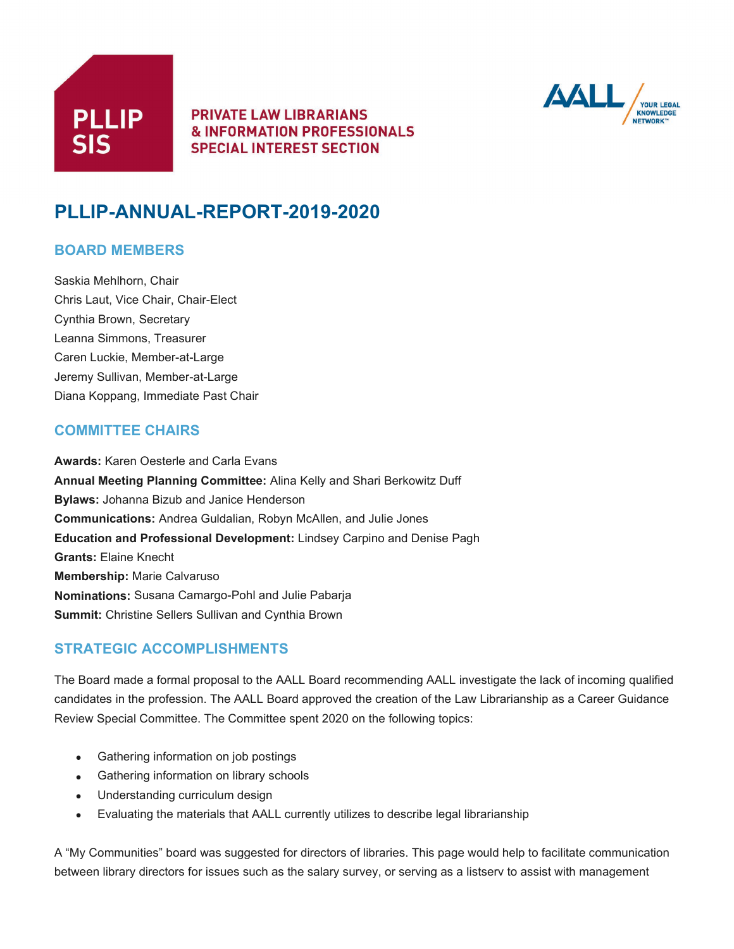



# **PLLIP-ANNUAL-REPORT-2019-2020**

#### **BOARD MEMBERS**

Saskia Mehlhorn, Chair Chris Laut, Vice Chair, Chair-Elect Cynthia Brown, Secretary Leanna Simmons, Treasurer Caren Luckie, Member-at-Large Jeremy Sullivan, Member-at-Large Diana Koppang, Immediate Past Chair

#### **COMMITTEE CHAIRS**

**Awards:** Karen Oesterle and Carla Evans **Annual Meeting Planning Committee:** Alina Kelly and Shari Berkowitz Duff **Bylaws:** Johanna Bizub and Janice Henderson **Communications:** Andrea Guldalian, Robyn McAllen, and Julie Jones **Education and Professional Development:** Lindsey Carpino and Denise Pagh **Grants:** Elaine Knecht **Membership:** Marie Calvaruso **Nominations:** Susana Camargo-Pohl and Julie Pabarja **Summit:** Christine Sellers Sullivan and Cynthia Brown

## **STRATEGIC ACCOMPLISHMENTS**

The Board made a formal proposal to the AALL Board recommending AALL investigate the lack of incoming qualified candidates in the profession. The AALL Board approved the creation of the Law Librarianship as a Career Guidance Review Special Committee. The Committee spent 2020 on the following topics:

- Gathering information on job postings
- Gathering information on library schools
- Understanding curriculum design
- Evaluating the materials that AALL currently utilizes to describe legal librarianship

A "My Communities" board was suggested for directors of libraries. This page would help to facilitate communication between library directors for issues such as the salary survey, or serving as a listserv to assist with management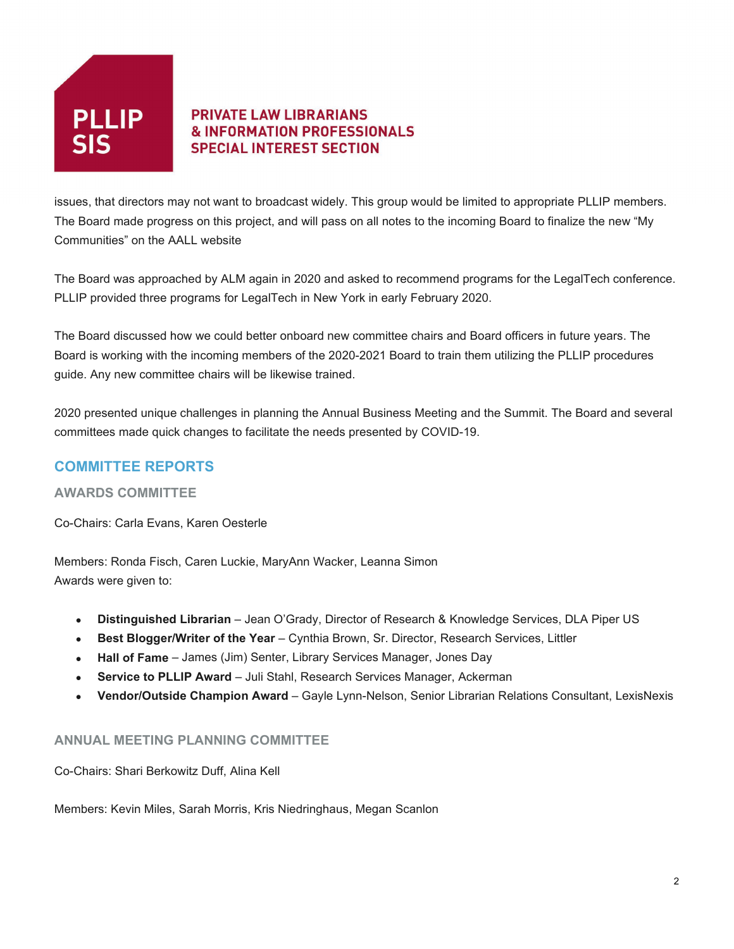

issues, that directors may not want to broadcast widely. This group would be limited to appropriate PLLIP members. The Board made progress on this project, and will pass on all notes to the incoming Board to finalize the new "My Communities" on the AALL website

The Board was approached by ALM again in 2020 and asked to recommend programs for the LegalTech conference. PLLIP provided three programs for LegalTech in New York in early February 2020.

The Board discussed how we could better onboard new committee chairs and Board officers in future years. The Board is working with the incoming members of the 2020-2021 Board to train them utilizing the PLLIP procedures guide. Any new committee chairs will be likewise trained.

2020 presented unique challenges in planning the Annual Business Meeting and the Summit. The Board and several committees made quick changes to facilitate the needs presented by COVID-19.

# **COMMITTEE REPORTS**

#### **AWARDS COMMITTEE**

Co-Chairs: Carla Evans, Karen Oesterle

Members: Ronda Fisch, Caren Luckie, MaryAnn Wacker, Leanna Simon Awards were given to:

- **Distinguished Librarian** Jean O'Grady, Director of Research & Knowledge Services, DLA Piper US
- **Best Blogger/Writer of the Year** Cynthia Brown, Sr. Director, Research Services, Littler
- **Hall of Fame** James (Jim) Senter, Library Services Manager, Jones Day
- **Service to PLLIP Award** Juli Stahl, Research Services Manager, Ackerman
- **Vendor/Outside Champion Award** Gayle Lynn-Nelson, Senior Librarian Relations Consultant, LexisNexis

#### **ANNUAL MEETING PLANNING COMMITTEE**

Co-Chairs: Shari Berkowitz Duff, Alina Kell

Members: Kevin Miles, Sarah Morris, Kris Niedringhaus, Megan Scanlon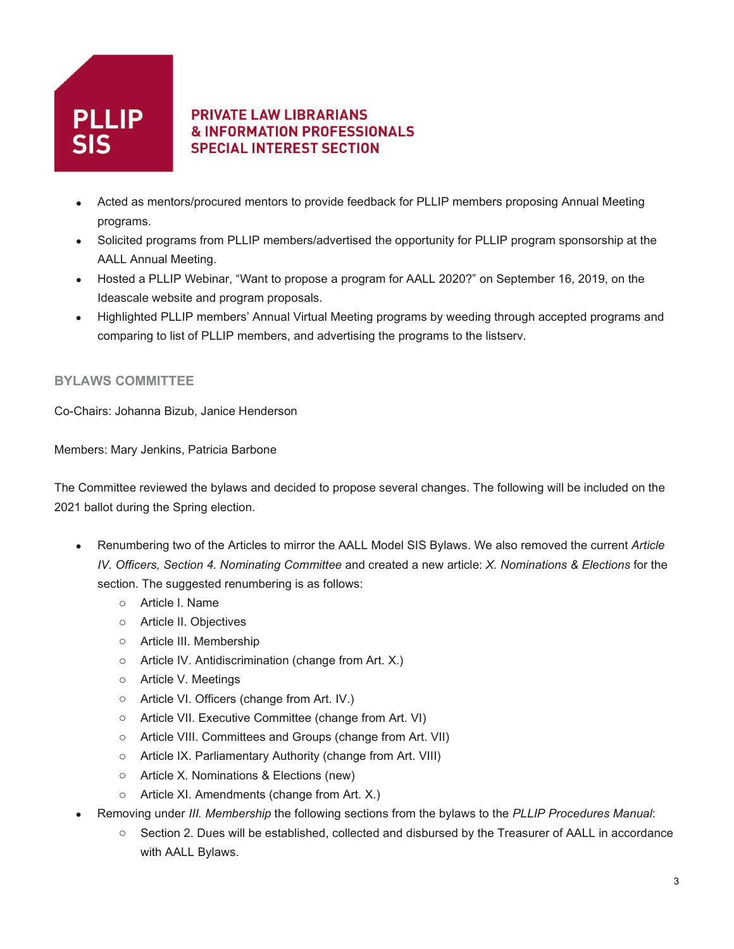

- Acted as mentors/procured mentors to provide feedback for PLLIP members proposing Annual Meeting programs.
- Solicited programs from PLLIP members/advertised the opportunity for PLLIP program sponsorship at the AALL Annual Meeting.
- Hosted a PLLIP Webinar, "Want to propose a program for AALL 2020?" on September 16, 2019, on the Ideascale website and program proposals.
- Highlighted PLLIP members' Annual Virtual Meeting programs by weeding through accepted programs and comparing to list of PLLIP members, and advertising the programs to the listserv.

#### **BYLAWS COMMITTEE**

Co-Chairs: Johanna Bizub, Janice Henderson

Members: Mary Jenkins, Patricia Barbone

The Committee reviewed the bylaws and decided to propose several changes. The following will be included on the 2021 ballot during the Spring election.

- Renumbering two of the Articles to mirror the AALL Model SIS Bylaws. We also removed the current *Article IV. Officers, Section 4. Nominating Committee* and created a new article: *X. Nominations & Elections* for the section. The suggested renumbering is as follows:
	- o Article I. Name
	- o Article II. Objectives
	- o Article III. Membership
	- o Article IV. Antidiscrimination (change from Art. X.)
	- o Article V. Meetings
	- o Article VI. Officers (change from Art. IV.)
	- o Article VII. Executive Committee (change from Art. VI)
	- o Article VIII. Committees and Groups (change from Art. VII)
	- o Article IX. Parliamentary Authority (change from Art. VIII)
	- o Article X. Nominations & Elections (new)
	- o Article XI. Amendments (change from Art. X.)
- Removing under *III. Membership* the following sections from the bylaws to the *PLLIP Procedures Manual*:
	- o Section 2. Dues will be established, collected and disbursed by the Treasurer of AALL in accordance with AALL Bylaws.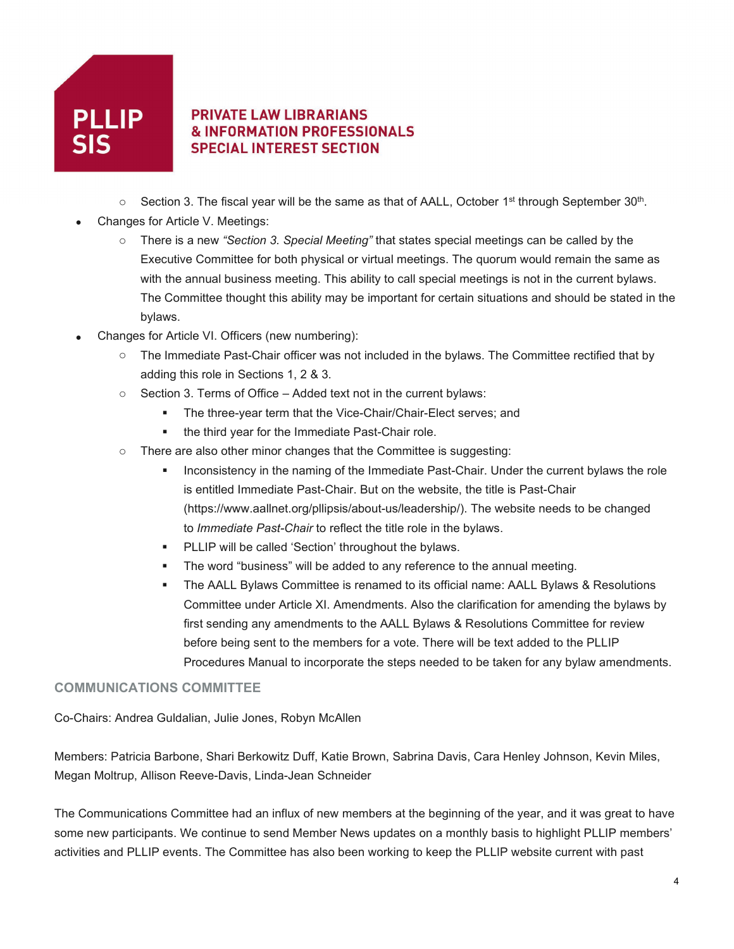

- $\circ$  Section 3. The fiscal year will be the same as that of AALL, October 1st through September 30<sup>th</sup>.
- Changes for Article V. Meetings:
	- o There is a new *"Section 3. Special Meeting"* that states special meetings can be called by the Executive Committee for both physical or virtual meetings. The quorum would remain the same as with the annual business meeting. This ability to call special meetings is not in the current bylaws. The Committee thought this ability may be important for certain situations and should be stated in the bylaws.
- Changes for Article VI. Officers (new numbering):
	- o The Immediate Past-Chair officer was not included in the bylaws. The Committee rectified that by adding this role in Sections 1, 2 & 3.
	- $\circ$  Section 3. Terms of Office Added text not in the current bylaws:
		- **The three-year term that the Vice-Chair/Chair-Elect serves; and**
		- the third year for the Immediate Past-Chair role.
	- $\circ$  There are also other minor changes that the Committee is suggesting:
		- Inconsistency in the naming of the Immediate Past-Chair. Under the current bylaws the role is entitled Immediate Past-Chair. But on the website, the title is Past-Chair (https://www.aallnet.org/pllipsis/about-us/leadership/). The website needs to be changed to *Immediate Past-Chair* to reflect the title role in the bylaws.
		- PLLIP will be called 'Section' throughout the bylaws.
		- The word "business" will be added to any reference to the annual meeting.
		- The AALL Bylaws Committee is renamed to its official name: AALL Bylaws & Resolutions Committee under Article XI. Amendments. Also the clarification for amending the bylaws by first sending any amendments to the AALL Bylaws & Resolutions Committee for review before being sent to the members for a vote. There will be text added to the PLLIP Procedures Manual to incorporate the steps needed to be taken for any bylaw amendments.

#### **COMMUNICATIONS COMMITTEE**

Co-Chairs: Andrea Guldalian, Julie Jones, Robyn McAllen

Members: Patricia Barbone, Shari Berkowitz Duff, Katie Brown, Sabrina Davis, Cara Henley Johnson, Kevin Miles, Megan Moltrup, Allison Reeve-Davis, Linda-Jean Schneider

The Communications Committee had an influx of new members at the beginning of the year, and it was great to have some new participants. We continue to send Member News updates on a monthly basis to highlight PLLIP members' activities and PLLIP events. The Committee has also been working to keep the PLLIP website current with past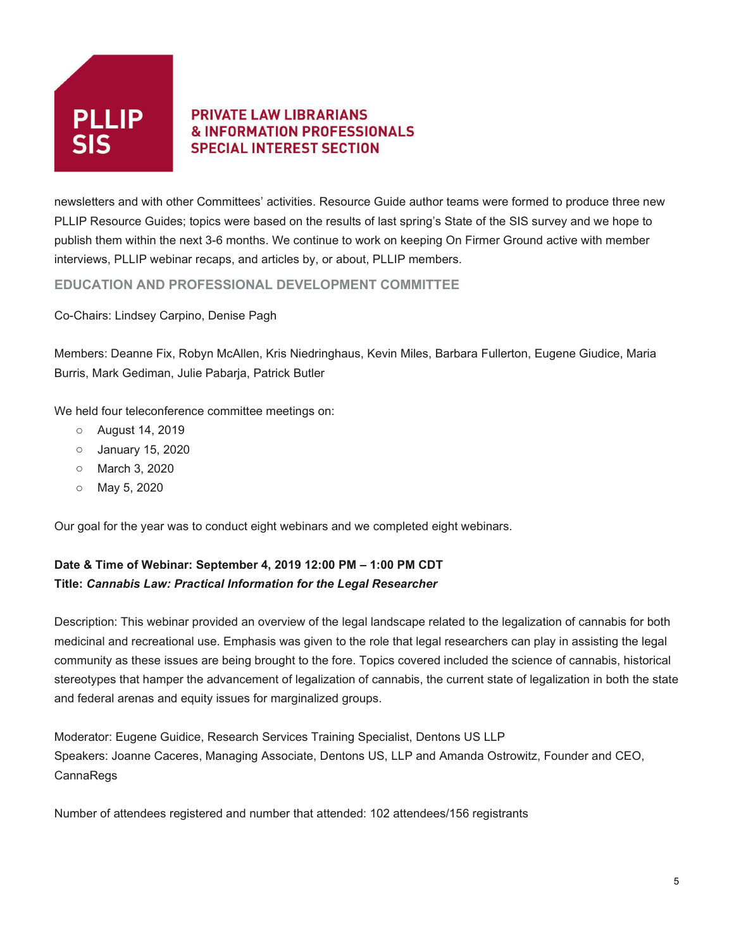

newsletters and with other Committees' activities. Resource Guide author teams were formed to produce three new PLLIP Resource Guides; topics were based on the results of last spring's State of the SIS survey and we hope to publish them within the next 3-6 months. We continue to work on keeping On Firmer Ground active with member interviews, PLLIP webinar recaps, and articles by, or about, PLLIP members.

**EDUCATION AND PROFESSIONAL DEVELOPMENT COMMITTEE**

Co-Chairs: Lindsey Carpino, Denise Pagh

Members: Deanne Fix, Robyn McAllen, Kris Niedringhaus, Kevin Miles, Barbara Fullerton, Eugene Giudice, Maria Burris, Mark Gediman, Julie Pabarja, Patrick Butler

We held four teleconference committee meetings on:

- o August 14, 2019
- o January 15, 2020
- o March 3, 2020
- o May 5, 2020

Our goal for the year was to conduct eight webinars and we completed eight webinars.

## **Date & Time of Webinar: September 4, 2019 12:00 PM – 1:00 PM CDT Title:** *Cannabis Law: Practical Information for the Legal Researcher*

Description: This webinar provided an overview of the legal landscape related to the legalization of cannabis for both medicinal and recreational use. Emphasis was given to the role that legal researchers can play in assisting the legal community as these issues are being brought to the fore. Topics covered included the science of cannabis, historical stereotypes that hamper the advancement of legalization of cannabis, the current state of legalization in both the state and federal arenas and equity issues for marginalized groups.

Moderator: Eugene Guidice, Research Services Training Specialist, Dentons US LLP Speakers: Joanne Caceres, Managing Associate, Dentons US, LLP and Amanda Ostrowitz, Founder and CEO, CannaRegs

Number of attendees registered and number that attended: 102 attendees/156 registrants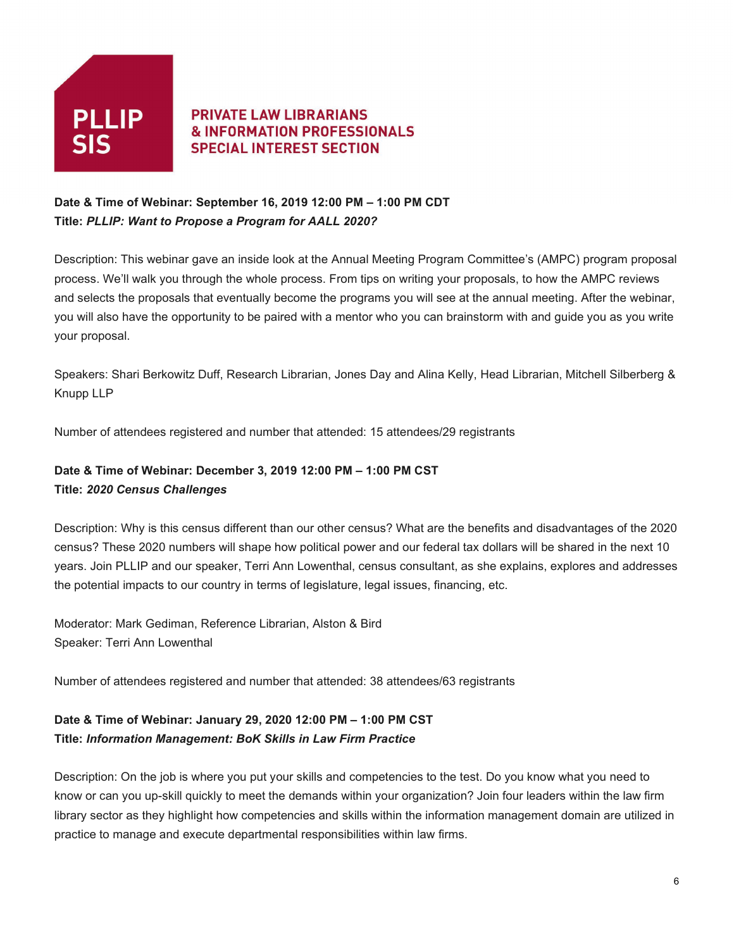

#### **Date & Time of Webinar: September 16, 2019 12:00 PM – 1:00 PM CDT Title:** *PLLIP: Want to Propose a Program for AALL 2020?*

Description: This webinar gave an inside look at the Annual Meeting Program Committee's (AMPC) program proposal process. We'll walk you through the whole process. From tips on writing your proposals, to how the AMPC reviews and selects the proposals that eventually become the programs you will see at the annual meeting. After the webinar, you will also have the opportunity to be paired with a mentor who you can brainstorm with and guide you as you write your proposal.

Speakers: Shari Berkowitz Duff, Research Librarian, Jones Day and Alina Kelly, Head Librarian, Mitchell Silberberg & Knupp LLP

Number of attendees registered and number that attended: 15 attendees/29 registrants

#### **Date & Time of Webinar: December 3, 2019 12:00 PM – 1:00 PM CST Title:** *2020 Census Challenges*

Description: Why is this census different than our other census? What are the benefits and disadvantages of the 2020 census? These 2020 numbers will shape how political power and our federal tax dollars will be shared in the next 10 years. Join PLLIP and our speaker, Terri Ann Lowenthal, census consultant, as she explains, explores and addresses the potential impacts to our country in terms of legislature, legal issues, financing, etc.

Moderator: Mark Gediman, Reference Librarian, Alston & Bird Speaker: Terri Ann Lowenthal

Number of attendees registered and number that attended: 38 attendees/63 registrants

# **Date & Time of Webinar: January 29, 2020 12:00 PM – 1:00 PM CST Title:** *Information Management: BoK Skills in Law Firm Practice*

Description: On the job is where you put your skills and competencies to the test. Do you know what you need to know or can you up-skill quickly to meet the demands within your organization? Join four leaders within the law firm library sector as they highlight how competencies and skills within the information management domain are utilized in practice to manage and execute departmental responsibilities within law firms.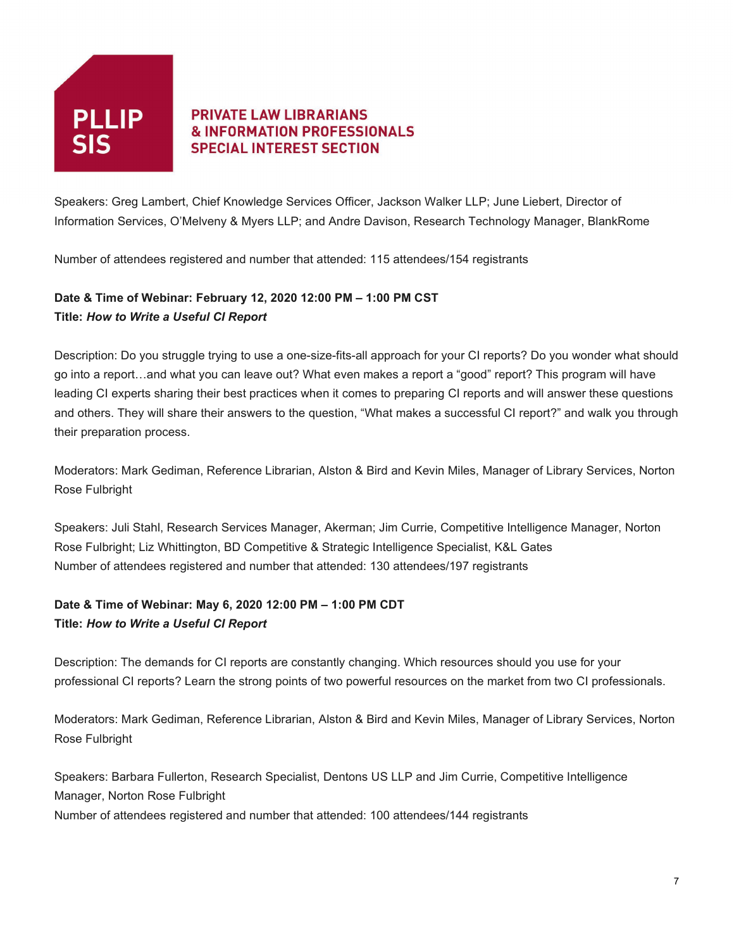

Speakers: Greg Lambert, Chief Knowledge Services Officer, Jackson Walker LLP; June Liebert, Director of Information Services, O'Melveny & Myers LLP; and Andre Davison, Research Technology Manager, BlankRome

Number of attendees registered and number that attended: 115 attendees/154 registrants

#### **Date & Time of Webinar: February 12, 2020 12:00 PM – 1:00 PM CST Title:** *How to Write a Useful CI Report*

Description: Do you struggle trying to use a one-size-fits-all approach for your CI reports? Do you wonder what should go into a report…and what you can leave out? What even makes a report a "good" report? This program will have leading CI experts sharing their best practices when it comes to preparing CI reports and will answer these questions and others. They will share their answers to the question, "What makes a successful CI report?" and walk you through their preparation process.

Moderators: Mark Gediman, Reference Librarian, Alston & Bird and Kevin Miles, Manager of Library Services, Norton Rose Fulbright

Speakers: Juli Stahl, Research Services Manager, Akerman; Jim Currie, Competitive Intelligence Manager, Norton Rose Fulbright; Liz Whittington, BD Competitive & Strategic Intelligence Specialist, K&L Gates Number of attendees registered and number that attended: 130 attendees/197 registrants

## **Date & Time of Webinar: May 6, 2020 12:00 PM – 1:00 PM CDT Title:** *How to Write a Useful CI Report*

Description: The demands for CI reports are constantly changing. Which resources should you use for your professional CI reports? Learn the strong points of two powerful resources on the market from two CI professionals.

Moderators: Mark Gediman, Reference Librarian, Alston & Bird and Kevin Miles, Manager of Library Services, Norton Rose Fulbright

Speakers: Barbara Fullerton, Research Specialist, Dentons US LLP and Jim Currie, Competitive Intelligence Manager, Norton Rose Fulbright

Number of attendees registered and number that attended: 100 attendees/144 registrants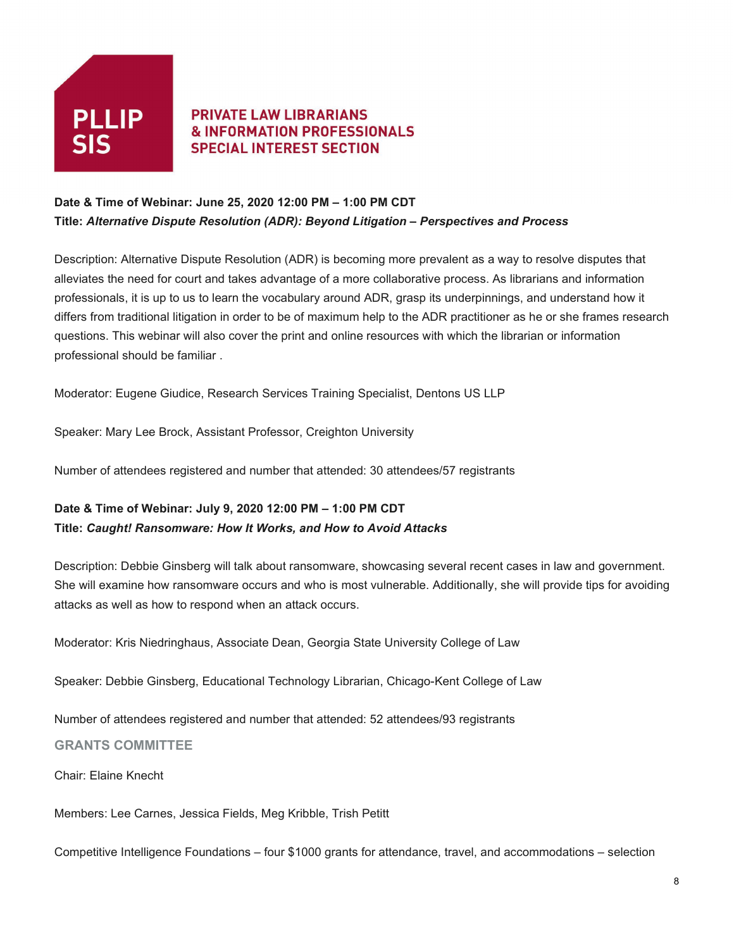

#### **Date & Time of Webinar: June 25, 2020 12:00 PM – 1:00 PM CDT Title:** *Alternative Dispute Resolution (ADR): Beyond Litigation – Perspectives and Process*

Description: Alternative Dispute Resolution (ADR) is becoming more prevalent as a way to resolve disputes that alleviates the need for court and takes advantage of a more collaborative process. As librarians and information professionals, it is up to us to learn the vocabulary around ADR, grasp its underpinnings, and understand how it differs from traditional litigation in order to be of maximum help to the ADR practitioner as he or she frames research questions. This webinar will also cover the print and online resources with which the librarian or information professional should be familiar .

Moderator: Eugene Giudice, Research Services Training Specialist, Dentons US LLP

Speaker: Mary Lee Brock, Assistant Professor, Creighton University

Number of attendees registered and number that attended: 30 attendees/57 registrants

#### **Date & Time of Webinar: July 9, 2020 12:00 PM – 1:00 PM CDT Title:** *Caught! Ransomware: How It Works, and How to Avoid Attacks*

Description: Debbie Ginsberg will talk about ransomware, showcasing several recent cases in law and government. She will examine how ransomware occurs and who is most vulnerable. Additionally, she will provide tips for avoiding attacks as well as how to respond when an attack occurs.

Moderator: Kris Niedringhaus, Associate Dean, Georgia State University College of Law

Speaker: Debbie Ginsberg, Educational Technology Librarian, Chicago-Kent College of Law

Number of attendees registered and number that attended: 52 attendees/93 registrants

#### **GRANTS COMMITTEE**

Chair: Elaine Knecht

Members: Lee Carnes, Jessica Fields, Meg Kribble, Trish Petitt

Competitive Intelligence Foundations – four \$1000 grants for attendance, travel, and accommodations – selection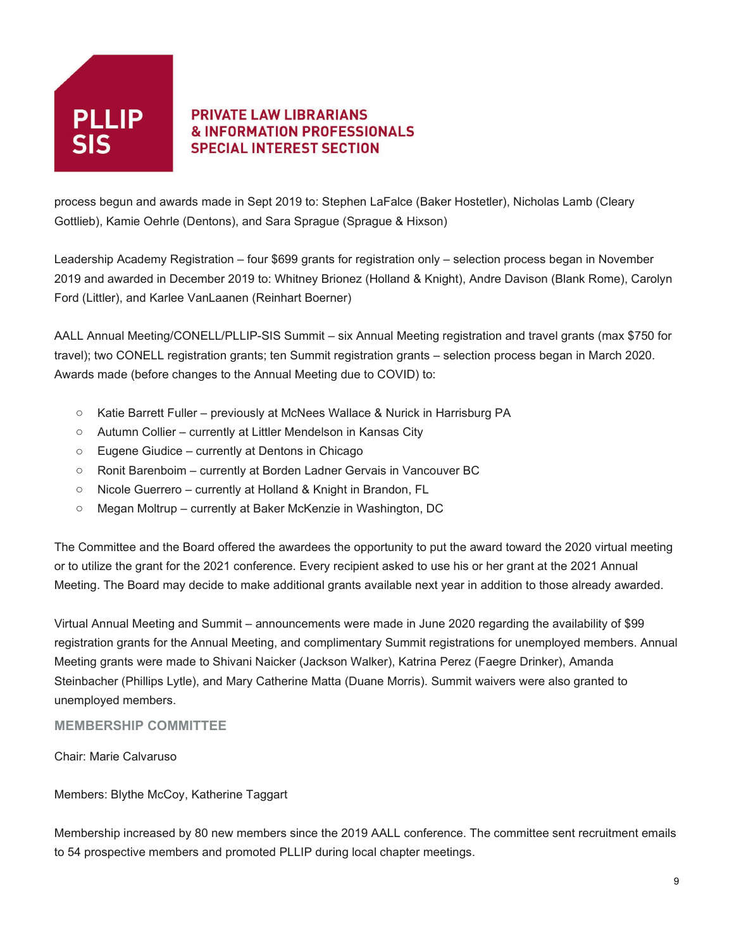

process begun and awards made in Sept 2019 to: Stephen LaFalce (Baker Hostetler), Nicholas Lamb (Cleary Gottlieb), Kamie Oehrle (Dentons), and Sara Sprague (Sprague & Hixson)

Leadership Academy Registration – four \$699 grants for registration only – selection process began in November 2019 and awarded in December 2019 to: Whitney Brionez (Holland & Knight), Andre Davison (Blank Rome), Carolyn Ford (Littler), and Karlee VanLaanen (Reinhart Boerner)

AALL Annual Meeting/CONELL/PLLIP-SIS Summit – six Annual Meeting registration and travel grants (max \$750 for travel); two CONELL registration grants; ten Summit registration grants – selection process began in March 2020. Awards made (before changes to the Annual Meeting due to COVID) to:

- o Katie Barrett Fuller previously at McNees Wallace & Nurick in Harrisburg PA
- o Autumn Collier currently at Littler Mendelson in Kansas City
- o Eugene Giudice currently at Dentons in Chicago
- o Ronit Barenboim currently at Borden Ladner Gervais in Vancouver BC
- o Nicole Guerrero currently at Holland & Knight in Brandon, FL
- o Megan Moltrup currently at Baker McKenzie in Washington, DC

The Committee and the Board offered the awardees the opportunity to put the award toward the 2020 virtual meeting or to utilize the grant for the 2021 conference. Every recipient asked to use his or her grant at the 2021 Annual Meeting. The Board may decide to make additional grants available next year in addition to those already awarded.

Virtual Annual Meeting and Summit – announcements were made in June 2020 regarding the availability of \$99 registration grants for the Annual Meeting, and complimentary Summit registrations for unemployed members. Annual Meeting grants were made to Shivani Naicker (Jackson Walker), Katrina Perez (Faegre Drinker), Amanda Steinbacher (Phillips Lytle), and Mary Catherine Matta (Duane Morris). Summit waivers were also granted to unemployed members.

#### **MEMBERSHIP COMMITTEE**

Chair: Marie Calvaruso

Members: Blythe McCoy, Katherine Taggart

Membership increased by 80 new members since the 2019 AALL conference. The committee sent recruitment emails to 54 prospective members and promoted PLLIP during local chapter meetings.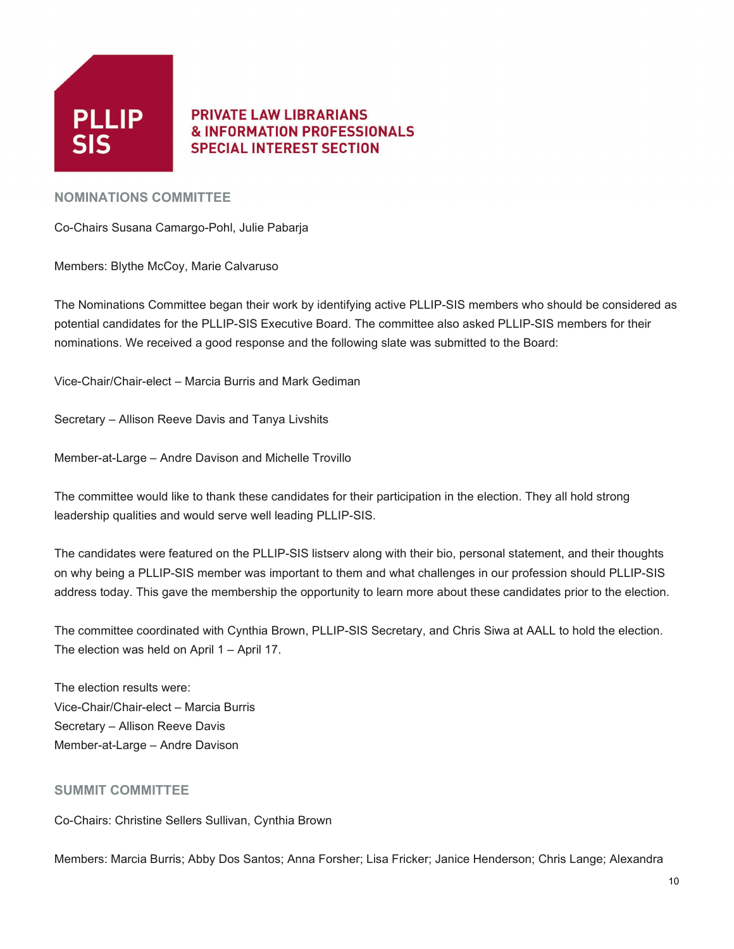

#### **NOMINATIONS COMMITTEE**

Co-Chairs Susana Camargo-Pohl, Julie Pabarja

Members: Blythe McCoy, Marie Calvaruso

The Nominations Committee began their work by identifying active PLLIP-SIS members who should be considered as potential candidates for the PLLIP-SIS Executive Board. The committee also asked PLLIP-SIS members for their nominations. We received a good response and the following slate was submitted to the Board:

Vice-Chair/Chair-elect – Marcia Burris and Mark Gediman

Secretary – Allison Reeve Davis and Tanya Livshits

Member-at-Large – Andre Davison and Michelle Trovillo

The committee would like to thank these candidates for their participation in the election. They all hold strong leadership qualities and would serve well leading PLLIP-SIS.

The candidates were featured on the PLLIP-SIS listserv along with their bio, personal statement, and their thoughts on why being a PLLIP-SIS member was important to them and what challenges in our profession should PLLIP-SIS address today. This gave the membership the opportunity to learn more about these candidates prior to the election.

The committee coordinated with Cynthia Brown, PLLIP-SIS Secretary, and Chris Siwa at AALL to hold the election. The election was held on April 1 – April 17.

The election results were: Vice-Chair/Chair-elect – Marcia Burris Secretary – Allison Reeve Davis Member-at-Large – Andre Davison

#### **SUMMIT COMMITTEE**

Co-Chairs: Christine Sellers Sullivan, Cynthia Brown

Members: Marcia Burris; Abby Dos Santos; Anna Forsher; Lisa Fricker; Janice Henderson; Chris Lange; Alexandra